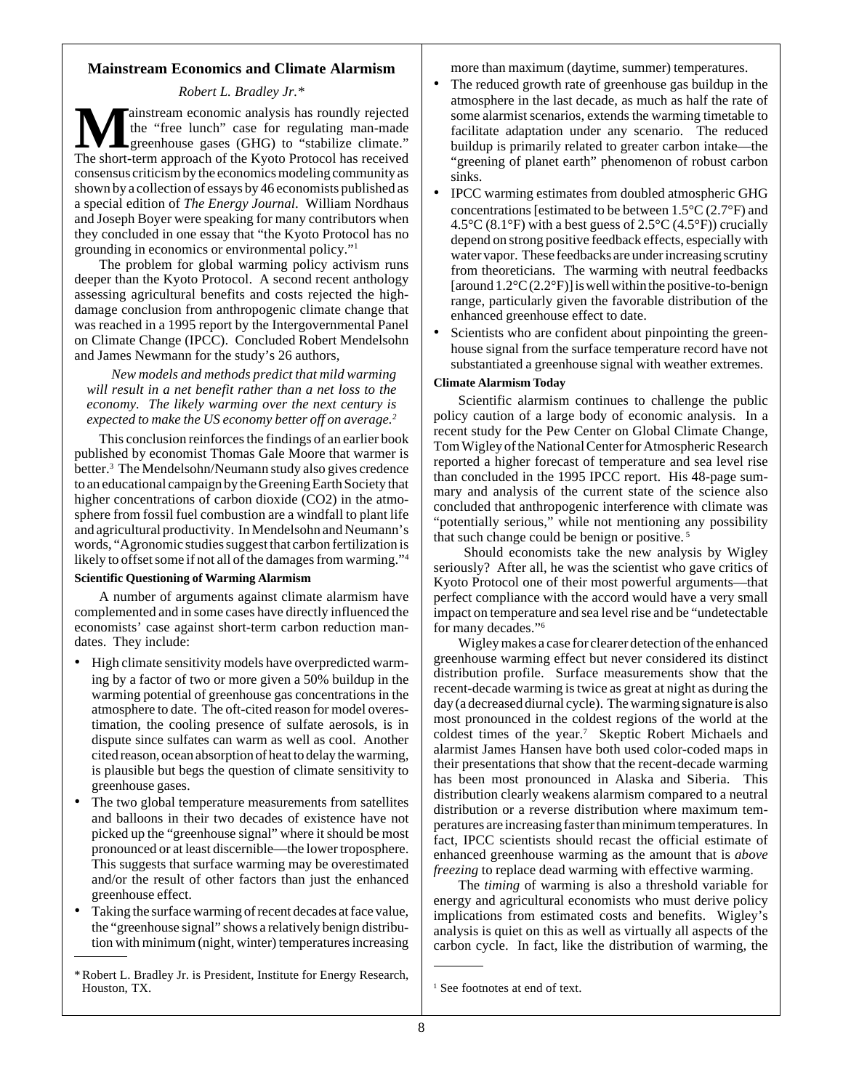## **Mainstream Economics and Climate Alarmism**

*Robert L. Bradley Jr.\**

**Mainstream economic analysis has roundly rejected**<br>the "free lunch" case for regulating man-made<br>The short-term approach of the Kyoto Protocol has received the "free lunch" case for regulating man-made greenhouse gases (GHG) to "stabilize climate." The short-term approach of the Kyoto Protocol has received consensus criticism by the economics modeling community as shown by a collection of essays by 46 economists published as a special edition of *The Energy Journal*. William Nordhaus and Joseph Boyer were speaking for many contributors when they concluded in one essay that "the Kyoto Protocol has no grounding in economics or environmental policy."1

The problem for global warming policy activism runs deeper than the Kyoto Protocol. A second recent anthology assessing agricultural benefits and costs rejected the highdamage conclusion from anthropogenic climate change that was reached in a 1995 report by the Intergovernmental Panel on Climate Change (IPCC). Concluded Robert Mendelsohn and James Newmann for the study's 26 authors,

*New models and methods predict that mild warming will result in a net benefit rather than a net loss to the economy. The likely warming over the next century is expected to make the US economy better off on average.2*

This conclusion reinforces the findings of an earlier book published by economist Thomas Gale Moore that warmer is better.<sup>3</sup> The Mendelsohn/Neumann study also gives credence to an educational campaign by the Greening Earth Society that higher concentrations of carbon dioxide (CO2) in the atmosphere from fossil fuel combustion are a windfall to plant life and agricultural productivity. In Mendelsohn and Neumann's words, "Agronomic studies suggest that carbon fertilization is likely to offset some if not all of the damages from warming."4

## **Scientific Questioning of Warming Alarmism**

A number of arguments against climate alarmism have complemented and in some cases have directly influenced the economists' case against short-term carbon reduction mandates. They include:

- High climate sensitivity models have overpredicted warming by a factor of two or more given a 50% buildup in the warming potential of greenhouse gas concentrations in the atmosphere to date. The oft-cited reason for model overestimation, the cooling presence of sulfate aerosols, is in dispute since sulfates can warm as well as cool. Another cited reason, ocean absorption of heat to delay the warming, is plausible but begs the question of climate sensitivity to greenhouse gases.
- The two global temperature measurements from satellites and balloons in their two decades of existence have not picked up the "greenhouse signal" where it should be most pronounced or at least discernible—the lower troposphere. This suggests that surface warming may be overestimated and/or the result of other factors than just the enhanced greenhouse effect.
- Taking the surface warming of recent decades at face value, the "greenhouse signal" shows a relatively benign distribution with minimum (night, winter) temperatures increasing
- \* Robert L. Bradley Jr. is President, Institute for Energy Research, Houston, TX. <sup>1</sup>

more than maximum (daytime, summer) temperatures.

- The reduced growth rate of greenhouse gas buildup in the atmosphere in the last decade, as much as half the rate of some alarmist scenarios, extends the warming timetable to facilitate adaptation under any scenario. The reduced buildup is primarily related to greater carbon intake—the "greening of planet earth" phenomenon of robust carbon sinks.
- IPCC warming estimates from doubled atmospheric GHG concentrations [estimated to be between 1.5°C (2.7°F) and 4.5 $\rm{°C}$  (8.1 $\rm{°F}$ ) with a best guess of 2.5 $\rm{°C}$  (4.5 $\rm{°F}$ )) crucially depend on strong positive feedback effects, especially with water vapor. These feedbacks are under increasing scrutiny from theoreticians. The warming with neutral feedbacks [around  $1.2^{\circ}C(2.2^{\circ}F)$ ] is well within the positive-to-benign range, particularly given the favorable distribution of the enhanced greenhouse effect to date.
- Scientists who are confident about pinpointing the greenhouse signal from the surface temperature record have not substantiated a greenhouse signal with weather extremes.

## **Climate Alarmism Today**

Scientific alarmism continues to challenge the public policy caution of a large body of economic analysis. In a recent study for the Pew Center on Global Climate Change, Tom Wigley of the National Center for Atmospheric Research reported a higher forecast of temperature and sea level rise than concluded in the 1995 IPCC report. His 48-page summary and analysis of the current state of the science also concluded that anthropogenic interference with climate was "potentially serious," while not mentioning any possibility that such change could be benign or positive. 5

 Should economists take the new analysis by Wigley seriously? After all, he was the scientist who gave critics of Kyoto Protocol one of their most powerful arguments—that perfect compliance with the accord would have a very small impact on temperature and sea level rise and be "undetectable for many decades."6

Wigley makes a case for clearer detection of the enhanced greenhouse warming effect but never considered its distinct distribution profile. Surface measurements show that the recent-decade warming is twice as great at night as during the day (a decreased diurnal cycle). The warming signature is also most pronounced in the coldest regions of the world at the coldest times of the year.<sup>7</sup> Skeptic Robert Michaels and alarmist James Hansen have both used color-coded maps in their presentations that show that the recent-decade warming has been most pronounced in Alaska and Siberia. This distribution clearly weakens alarmism compared to a neutral distribution or a reverse distribution where maximum temperatures are increasing faster than minimum temperatures. In fact, IPCC scientists should recast the official estimate of enhanced greenhouse warming as the amount that is *above freezing* to replace dead warming with effective warming.

The *timing* of warming is also a threshold variable for energy and agricultural economists who must derive policy implications from estimated costs and benefits. Wigley's analysis is quiet on this as well as virtually all aspects of the carbon cycle. In fact, like the distribution of warming, the

<sup>&</sup>lt;sup>1</sup> See footnotes at end of text.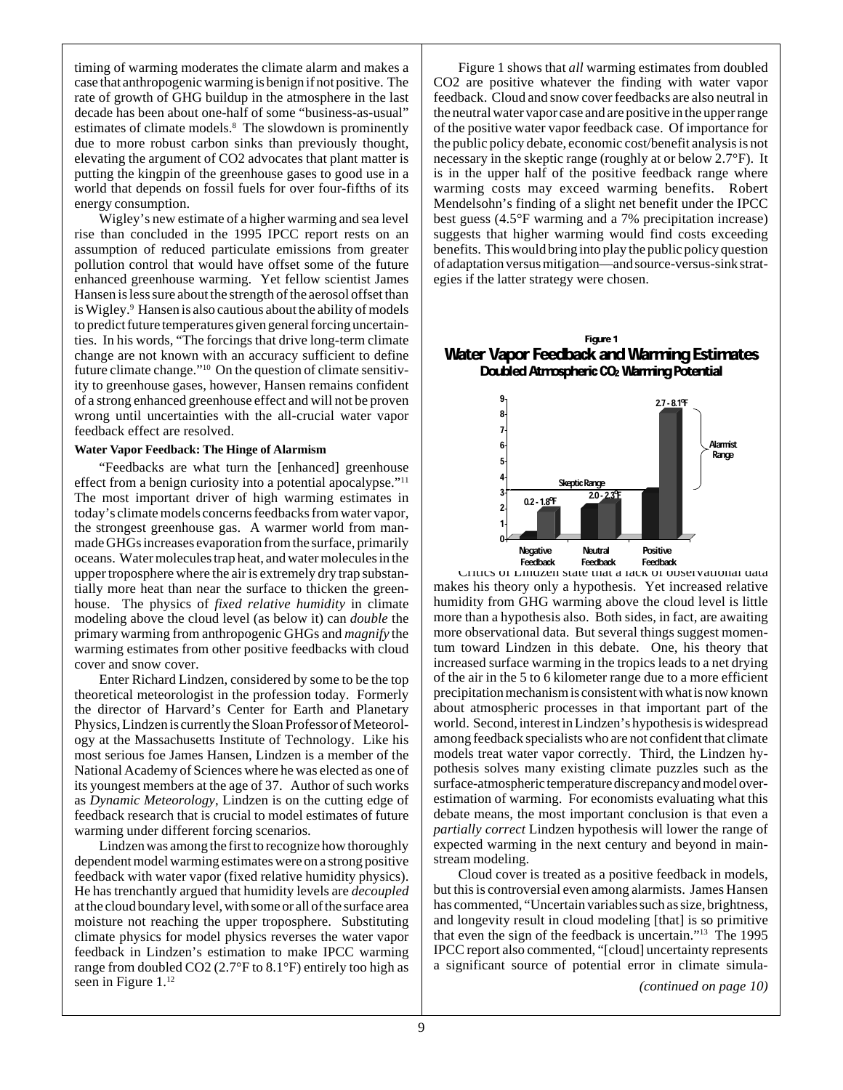timing of warming moderates the climate alarm and makes a case that anthropogenic warming is benign if not positive. The rate of growth of GHG buildup in the atmosphere in the last decade has been about one-half of some "business-as-usual" estimates of climate models.<sup>8</sup> The slowdown is prominently due to more robust carbon sinks than previously thought, elevating the argument of CO2 advocates that plant matter is putting the kingpin of the greenhouse gases to good use in a world that depends on fossil fuels for over four-fifths of its energy consumption.

Wigley's new estimate of a higher warming and sea level rise than concluded in the 1995 IPCC report rests on an assumption of reduced particulate emissions from greater pollution control that would have offset some of the future enhanced greenhouse warming. Yet fellow scientist James Hansen is less sure about the strength of the aerosol offset than is Wigley.<sup>9</sup> Hansen is also cautious about the ability of models to predict future temperatures given general forcing uncertainties. In his words, "The forcings that drive long-term climate change are not known with an accuracy sufficient to define future climate change."10 On the question of climate sensitivity to greenhouse gases, however, Hansen remains confident of a strong enhanced greenhouse effect and will not be proven wrong until uncertainties with the all-crucial water vapor feedback effect are resolved.

#### **Water Vapor Feedback: The Hinge of Alarmism**

"Feedbacks are what turn the [enhanced] greenhouse effect from a benign curiosity into a potential apocalypse."<sup>11</sup> The most important driver of high warming estimates in today's climate models concerns feedbacks from water vapor, the strongest greenhouse gas. A warmer world from manmade GHGs increases evaporation from the surface, primarily oceans. Water molecules trap heat, and water molecules in the upper troposphere where the air is extremely dry trap substantially more heat than near the surface to thicken the greenhouse. The physics of *fixed relative humidity* in climate modeling above the cloud level (as below it) can *double* the primary warming from anthropogenic GHGs and *magnify* the warming estimates from other positive feedbacks with cloud cover and snow cover.

Enter Richard Lindzen, considered by some to be the top theoretical meteorologist in the profession today. Formerly the director of Harvard's Center for Earth and Planetary Physics, Lindzen is currently the Sloan Professor of Meteorology at the Massachusetts Institute of Technology. Like his most serious foe James Hansen, Lindzen is a member of the National Academy of Sciences where he was elected as one of its youngest members at the age of 37. Author of such works as *Dynamic Meteorology*, Lindzen is on the cutting edge of feedback research that is crucial to model estimates of future warming under different forcing scenarios.

Lindzen was among the first to recognize how thoroughly dependent model warming estimates were on a strong positive feedback with water vapor (fixed relative humidity physics). He has trenchantly argued that humidity levels are *decoupled* at the cloud boundary level, with some or all of the surface area moisture not reaching the upper troposphere. Substituting climate physics for model physics reverses the water vapor feedback in Lindzen's estimation to make IPCC warming range from doubled CO2 (2.7°F to 8.1°F) entirely too high as seen in Figure 1.<sup>12</sup>

Figure 1 shows that *all* warming estimates from doubled CO2 are positive whatever the finding with water vapor feedback. Cloud and snow cover feedbacks are also neutral in the neutral water vapor case and are positive in the upper range of the positive water vapor feedback case. Of importance for the public policy debate, economic cost/benefit analysis is not necessary in the skeptic range (roughly at or below 2.7°F). It is in the upper half of the positive feedback range where warming costs may exceed warming benefits. Robert Mendelsohn's finding of a slight net benefit under the IPCC best guess (4.5°F warming and a 7% precipitation increase) suggests that higher warming would find costs exceeding benefits. This would bring into play the public policy question of adaptation versus mitigation—and source-versus-sink strategies if the latter strategy were chosen.

#### Figure 1 Water Vapor Feedback and Warming Estimates Doubled Atmospheric CO2 Warming Potential



Critics of Lindzen state that a lack of observational data makes his theory only a hypothesis. Yet increased relative humidity from GHG warming above the cloud level is little more than a hypothesis also. Both sides, in fact, are awaiting more observational data. But several things suggest momentum toward Lindzen in this debate. One, his theory that increased surface warming in the tropics leads to a net drying of the air in the 5 to 6 kilometer range due to a more efficient precipitation mechanism is consistent with what is now known about atmospheric processes in that important part of the world. Second, interest in Lindzen's hypothesis is widespread among feedback specialists who are not confident that climate models treat water vapor correctly. Third, the Lindzen hypothesis solves many existing climate puzzles such as the surface-atmospheric temperature discrepancy and model overestimation of warming. For economists evaluating what this debate means, the most important conclusion is that even a *partially correct* Lindzen hypothesis will lower the range of expected warming in the next century and beyond in mainstream modeling.

Cloud cover is treated as a positive feedback in models, but this is controversial even among alarmists. James Hansen has commented, "Uncertain variables such as size, brightness, and longevity result in cloud modeling [that] is so primitive that even the sign of the feedback is uncertain."13 The 1995 IPCC report also commented, "[cloud] uncertainty represents a significant source of potential error in climate simula-

*(continued on page 10)*